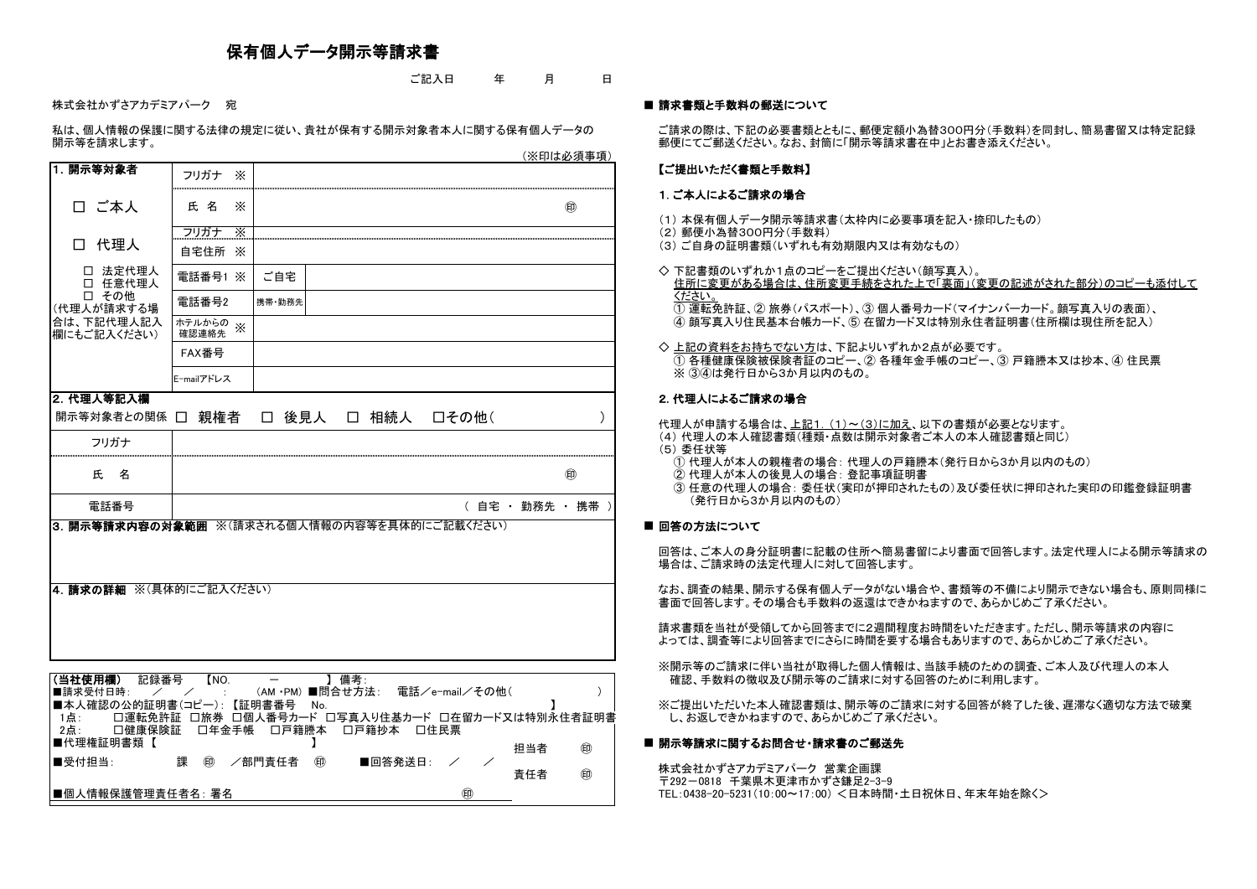# 保有個人データ開示等請求書

ご記入日 年 月 日

株式会社かずさアカデミアパーク 宛 ■ 請求書類と手数料の郵送について

私は、個人情報の保護に関する法律の規定に従い、貴社が保有する開示対象者本人に関する保有個人データの ご請求の際は、下記の必要書類とともに、郵便定額小為替300円分(手数料)を同封し、簡易書留又は特定記録

### 【ご提出いただく書類と手数料】

- (1) 本保有個人データ開示等請求書(太枠内に必要事項を記入・捺印したもの)
- (2) 郵便小為替300円分(手数料)
- (3) ご自身の証明書類(いずれも有効期限内又は有効なもの)
- ◇ 下記書類のいずれか1点のコピーをご提出ください(顔写真入)。 住所に変更がある場合は、住所変更手続をされた上で「裏面」(変更の記述がされた部分)のコピーも添付して ください。 ① 運転免許証、② 旅券(パスポート)、③ 個人番号カード(マイナンバーカード。顔写真入りの表面)、
- ◇上記の資料をお持ちでない方は、下記よりいずれか2点が必要です。 ① 各種健康保険被保険者証のコピー、② 各種年金手帳のコピー、③ 戸籍謄本又は抄本、④ 住民票 ※ 34は発行日から3か月以内のもの。

# 2. 代理人によるご請求の場合

開示等を請求します。 郵便にてご郵送ください。なお、封筒に「開示等請求書在中」とお書き添えください。 (※印は必須事項)

## 1. ご本人によるご請求の場合

代理人が申請する場合は、上記1. (1)~(3)に加え、以下の書類が必要となります。 (4) 代理人の本人確認書類(種類・点数は開示対象者ご本人の本人確認書類と同じ) (5) 委任状等

④ 顔写真入り住民基本台帳カード、⑤ 在留カード又は特別永住者証明書(住所欄は現住所を記入)

なお、調査の結果、開示する保有個人データがない場合や、書類等の不備により開示できない場合も、原則同様に 書面で回答します。その場合も手数料の返還はできかねますので、あらかじめご了承ください。

※開示等のご請求に伴い当社が取得した個人情報は、当該手続のための調査、ご本人及び代理人の本人 確認、手数料の徴収及び開示等のご請求に対する回答のために利用します。

※ご提出いただいた本人確認書類は、開示等のご請求に対する回答が終了した後、遅滞なく適切な方法で破棄 し、お返しできかねますので、あらかじめご了承ください。

# ■ 開示等請求に関するお問合せ・請求書のご郵送先

- ① 代理人が本人の親権者の場合: 代理人の戸籍謄本(発行日から3か月以内のもの)
- ② 代理人が本人の後見人の場合: 登記事項証明書
- (発行日から3か月以内のもの)

### ■ 回答の方法について

③ 任意の代理人の場合: 委任状(実印が押印されたもの)及び委任状に押印された実印の印鑑登録証明書

回答は、ご本人の身分証明書に記載の住所へ簡易書留により書面で回答します。法定代理人による開示等請求の 場合は、ご請求時の法定代理人に対して回答します。

請求書類を当社が受領してから回答までに2週間程度お時間をいただきます。ただし、開示等請求の内容に よっては、調査等により回答までにさらに時間を要する場合もありますので、あらかじめご了承ください。

|                                                     |                             |                                                                                 | <u>\/\F *\G\ZJ`/X+++ x\/</u> |
|-----------------------------------------------------|-----------------------------|---------------------------------------------------------------------------------|------------------------------|
| 1. 開示等対象者                                           | フリガナ<br>$\times$            |                                                                                 |                              |
| □ ご本人                                               | 氏名<br>$\times$              |                                                                                 | $^{\circledR}$               |
|                                                     | フリガナ<br>$\times$            |                                                                                 |                              |
| 代理人                                                 | 自宅住所<br>$\times$            |                                                                                 |                              |
| □ 法定代理人<br>□ 任意代理人                                  | 電話番号1<br>$\times$           | ご自宅                                                                             |                              |
| □ その他<br>(代理人が請求する場                                 | 電話番号2                       | 携帯 勤務先                                                                          |                              |
| 合は、下記代理人記入<br>欄にもご記入ください)                           | ホテルからの<br>$\times$<br>確認連絡先 |                                                                                 |                              |
|                                                     | FAX番号                       |                                                                                 |                              |
|                                                     | E-mailアドレス                  |                                                                                 |                              |
| 2. 代理人等記入欄                                          |                             |                                                                                 |                              |
| 開示等対象者との関係 □                                        | 親権者                         | □ 後見人 □ 相続人 □その他(                                                               |                              |
| フリガナ                                                |                             |                                                                                 |                              |
| 氏<br>名                                              |                             |                                                                                 | ⊕                            |
| 電話番号                                                |                             | ( 自宅 ・ 勤務先 ・ 携帯 )                                                               |                              |
| 4. 請求の詳細 ※(具体的にご記入ください)                             |                             | 3. 開示等請求内容の対象範囲 ※(請求される個人情報の内容等を具体的にご記載ください)                                    |                              |
|                                                     |                             |                                                                                 |                              |
|                                                     |                             |                                                                                 |                              |
| (当社使用欄)<br>記録番号<br>■請求受付日時:                         | [NO.]                       | 】備考:<br>(AM •PM) ■問合せ方法:<br>電話/e-mail/その他(                                      |                              |
| ■本人確認の公的証明書(コピー):<br>1点:<br>口運転免許証<br>2点:<br>口健康保険証 | □旅券<br>口年金手帳                | 【証明書番号<br>No.<br>□個人番号カード □写真入り住基カード □在留カード又は特別永住者証明書<br>口戸籍謄本<br>口戸籍抄本<br>口住民票 |                              |
| ■代理権証明書類【                                           |                             | 担当者                                                                             | 甸                            |
| ■受付担当:                                              | 課<br>(FI)                   | /部門責任者<br>厠<br>■回答発送日:<br>責任者                                                   | 厠                            |
| ■個人情報保護管理責任者名∶署名                                    |                             | 厠                                                                               |                              |

株式会社かずさアカデミアパーク 営業企画課 〒292-0818 千葉県木更津市かずさ鎌足2-3-9 ㊞ TEL:0438-20-5231(10:00~17:00) <日本時間・土日祝休日、年末年始を除く>